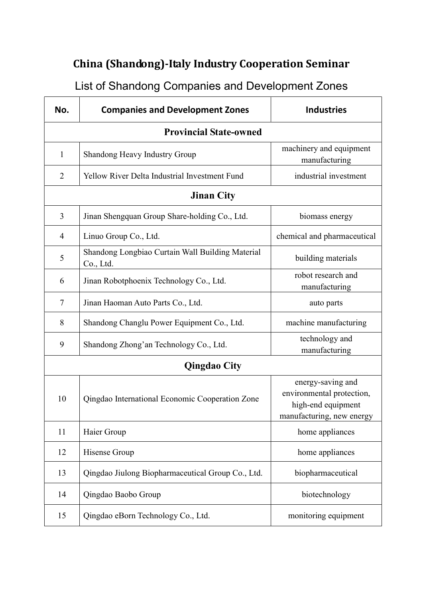## China (Shandong)-Italy Industry Cooperation Seminar

List of Shandong Companies and Development Zones

| No.                           | <b>Companies and Development Zones</b>                        | <b>Industries</b>                                                                                 |  |  |
|-------------------------------|---------------------------------------------------------------|---------------------------------------------------------------------------------------------------|--|--|
| <b>Provincial State-owned</b> |                                                               |                                                                                                   |  |  |
| $\mathbf{1}$                  | Shandong Heavy Industry Group                                 | machinery and equipment<br>manufacturing                                                          |  |  |
| $\overline{2}$                | Yellow River Delta Industrial Investment Fund                 | industrial investment                                                                             |  |  |
| <b>Jinan City</b>             |                                                               |                                                                                                   |  |  |
| 3                             | Jinan Shengquan Group Share-holding Co., Ltd.                 | biomass energy                                                                                    |  |  |
| $\overline{4}$                | Linuo Group Co., Ltd.                                         | chemical and pharmaceutical                                                                       |  |  |
| 5                             | Shandong Longbiao Curtain Wall Building Material<br>Co., Ltd. | building materials                                                                                |  |  |
| 6                             | Jinan Robotphoenix Technology Co., Ltd.                       | robot research and<br>manufacturing                                                               |  |  |
| 7                             | Jinan Haoman Auto Parts Co., Ltd.                             | auto parts                                                                                        |  |  |
| 8                             | Shandong Changlu Power Equipment Co., Ltd.                    | machine manufacturing                                                                             |  |  |
| 9                             | Shandong Zhong'an Technology Co., Ltd.                        | technology and<br>manufacturing                                                                   |  |  |
| <b>Qingdao City</b>           |                                                               |                                                                                                   |  |  |
| 10                            | Qingdao International Economic Cooperation Zone               | energy-saving and<br>environmental protection,<br>high-end equipment<br>manufacturing, new energy |  |  |
| 11                            | Haier Group                                                   | home appliances                                                                                   |  |  |
| 12                            | Hisense Group                                                 | home appliances                                                                                   |  |  |
| 13                            | Qingdao Jiulong Biopharmaceutical Group Co., Ltd.             | biopharmaceutical                                                                                 |  |  |
| 14                            | Qingdao Baobo Group                                           | biotechnology                                                                                     |  |  |
| 15                            | Qingdao eBorn Technology Co., Ltd.                            | monitoring equipment                                                                              |  |  |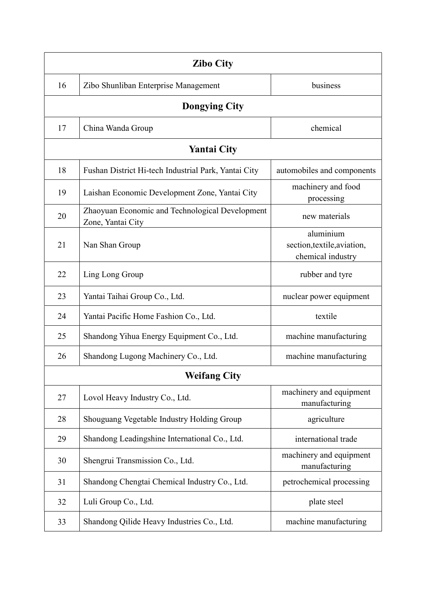| <b>Zibo City</b>     |                                                                      |                                                               |  |  |
|----------------------|----------------------------------------------------------------------|---------------------------------------------------------------|--|--|
| 16                   | Zibo Shunliban Enterprise Management                                 | business                                                      |  |  |
| <b>Dongying City</b> |                                                                      |                                                               |  |  |
| 17                   | China Wanda Group                                                    | chemical                                                      |  |  |
| <b>Yantai City</b>   |                                                                      |                                                               |  |  |
| 18                   | Fushan District Hi-tech Industrial Park, Yantai City                 | automobiles and components                                    |  |  |
| 19                   | Laishan Economic Development Zone, Yantai City                       | machinery and food<br>processing                              |  |  |
| 20                   | Zhaoyuan Economic and Technological Development<br>Zone, Yantai City | new materials                                                 |  |  |
| 21                   | Nan Shan Group                                                       | aluminium<br>section, textile, aviation,<br>chemical industry |  |  |
| 22                   | Ling Long Group                                                      | rubber and tyre                                               |  |  |
| 23                   | Yantai Taihai Group Co., Ltd.                                        | nuclear power equipment                                       |  |  |
| 24                   | Yantai Pacific Home Fashion Co., Ltd.                                | textile                                                       |  |  |
| 25                   | Shandong Yihua Energy Equipment Co., Ltd.                            | machine manufacturing                                         |  |  |
| 26                   | Shandong Lugong Machinery Co., Ltd.                                  | machine manufacturing                                         |  |  |
| <b>Weifang City</b>  |                                                                      |                                                               |  |  |
| 27                   | Lovol Heavy Industry Co., Ltd.                                       | machinery and equipment<br>manufacturing                      |  |  |
| 28                   | Shouguang Vegetable Industry Holding Group                           | agriculture                                                   |  |  |
| 29                   | Shandong Leadingshine International Co., Ltd.                        | international trade                                           |  |  |
| 30                   | Shengrui Transmission Co., Ltd.                                      | machinery and equipment<br>manufacturing                      |  |  |
| 31                   | Shandong Chengtai Chemical Industry Co., Ltd.                        | petrochemical processing                                      |  |  |
| 32                   | Luli Group Co., Ltd.                                                 | plate steel                                                   |  |  |
| 33                   | Shandong Qilide Heavy Industries Co., Ltd.                           | machine manufacturing                                         |  |  |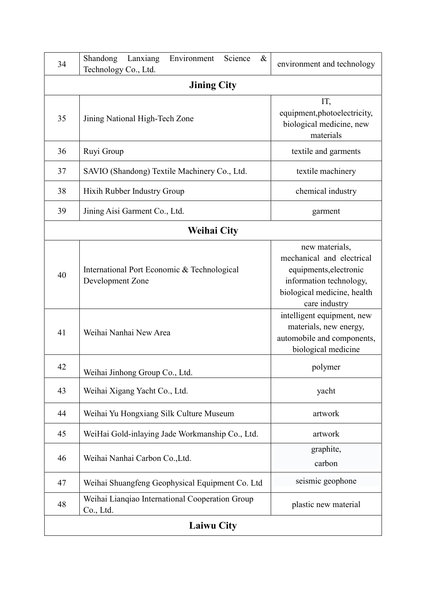| 34                 | Shandong<br>Lanxiang<br>Environment<br>Science<br>$\&$<br>Technology Co., Ltd. | environment and technology                                                                                                                       |  |  |
|--------------------|--------------------------------------------------------------------------------|--------------------------------------------------------------------------------------------------------------------------------------------------|--|--|
| <b>Jining City</b> |                                                                                |                                                                                                                                                  |  |  |
| 35                 | Jining National High-Tech Zone                                                 | IT,<br>equipment, photoelectricity,<br>biological medicine, new<br>materials                                                                     |  |  |
| 36                 | Ruyi Group                                                                     | textile and garments                                                                                                                             |  |  |
| 37                 | SAVIO (Shandong) Textile Machinery Co., Ltd.                                   | textile machinery                                                                                                                                |  |  |
| 38                 | Hixih Rubber Industry Group                                                    | chemical industry                                                                                                                                |  |  |
| 39                 | Jining Aisi Garment Co., Ltd.                                                  | garment                                                                                                                                          |  |  |
|                    | <b>Weihai City</b>                                                             |                                                                                                                                                  |  |  |
| 40                 | International Port Economic & Technological<br>Development Zone                | new materials,<br>mechanical and electrical<br>equipments, electronic<br>information technology,<br>biological medicine, health<br>care industry |  |  |
| 41                 | Weihai Nanhai New Area                                                         | intelligent equipment, new<br>materials, new energy,<br>automobile and components,<br>biological medicine                                        |  |  |
| 42                 | Weihai Jinhong Group Co., Ltd.                                                 | polymer                                                                                                                                          |  |  |
| 43                 | Weihai Xigang Yacht Co., Ltd.                                                  | yacht                                                                                                                                            |  |  |
| 44                 | Weihai Yu Hongxiang Silk Culture Museum                                        | artwork                                                                                                                                          |  |  |
| 45                 | WeiHai Gold-inlaying Jade Workmanship Co., Ltd.                                | artwork                                                                                                                                          |  |  |
| 46                 | Weihai Nanhai Carbon Co., Ltd.                                                 | graphite,<br>carbon                                                                                                                              |  |  |
| 47                 | Weihai Shuangfeng Geophysical Equipment Co. Ltd                                | seismic geophone                                                                                                                                 |  |  |
| 48                 | Weihai Lianqiao International Cooperation Group<br>Co., Ltd.                   | plastic new material                                                                                                                             |  |  |
| <b>Laiwu City</b>  |                                                                                |                                                                                                                                                  |  |  |